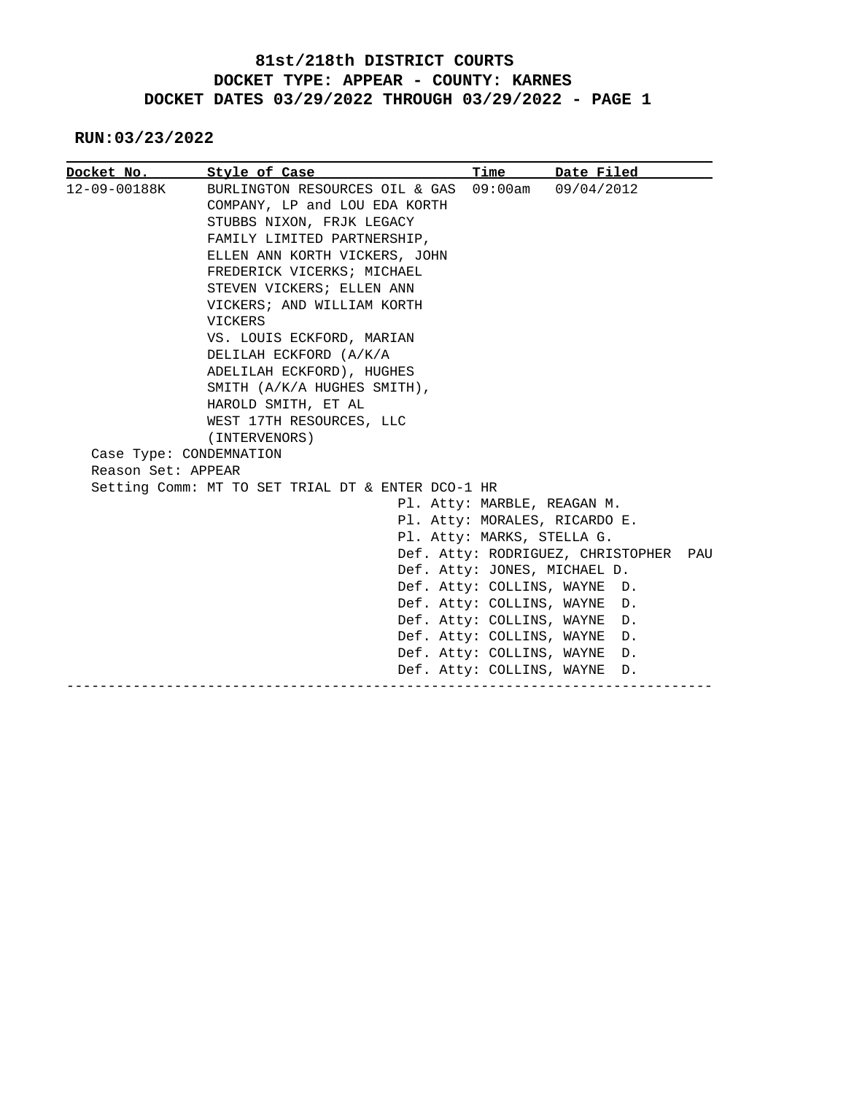**RUN:03/23/2022**

|                         | Docket No. Style of Case                          | Time                        | Date Filed                        |     |
|-------------------------|---------------------------------------------------|-----------------------------|-----------------------------------|-----|
| 12-09-00188K            | BURLINGTON RESOURCES OIL & GAS 09:00am            |                             | 09/04/2012                        |     |
|                         | COMPANY, LP and LOU EDA KORTH                     |                             |                                   |     |
|                         | STUBBS NIXON, FRJK LEGACY                         |                             |                                   |     |
|                         | FAMILY LIMITED PARTNERSHIP,                       |                             |                                   |     |
|                         | ELLEN ANN KORTH VICKERS, JOHN                     |                             |                                   |     |
|                         | FREDERICK VICERKS; MICHAEL                        |                             |                                   |     |
|                         | STEVEN VICKERS; ELLEN ANN                         |                             |                                   |     |
|                         | VICKERS; AND WILLIAM KORTH                        |                             |                                   |     |
|                         | VICKERS                                           |                             |                                   |     |
|                         | VS. LOUIS ECKFORD, MARIAN                         |                             |                                   |     |
|                         | DELILAH ECKFORD (A/K/A                            |                             |                                   |     |
|                         | ADELILAH ECKFORD), HUGHES                         |                             |                                   |     |
|                         | SMITH (A/K/A HUGHES SMITH),                       |                             |                                   |     |
|                         | HAROLD SMITH, ET AL                               |                             |                                   |     |
|                         | WEST 17TH RESOURCES, LLC                          |                             |                                   |     |
|                         | (INTERVENORS)                                     |                             |                                   |     |
| Case Type: CONDEMNATION |                                                   |                             |                                   |     |
| Reason Set: APPEAR      |                                                   |                             |                                   |     |
|                         | Setting Comm: MT TO SET TRIAL DT & ENTER DCO-1 HR |                             |                                   |     |
|                         |                                                   | Pl. Atty: MARBLE, REAGAN M. |                                   |     |
|                         |                                                   |                             | Pl. Atty: MORALES, RICARDO E.     |     |
|                         |                                                   | Pl. Atty: MARKS, STELLA G.  |                                   |     |
|                         |                                                   |                             | Def. Atty: RODRIGUEZ, CHRISTOPHER | PAU |
|                         |                                                   |                             | Def. Atty: JONES, MICHAEL D.      |     |
|                         |                                                   |                             | Def. Atty: COLLINS, WAYNE D.      |     |
|                         |                                                   | Def. Atty: COLLINS, WAYNE   | D.                                |     |
|                         |                                                   | Def. Atty: COLLINS, WAYNE   | D.                                |     |
|                         |                                                   | Def. Atty: COLLINS, WAYNE   | D.                                |     |
|                         |                                                   | Def. Atty: COLLINS, WAYNE   | D.                                |     |
|                         |                                                   | Def. Atty: COLLINS, WAYNE   | D.                                |     |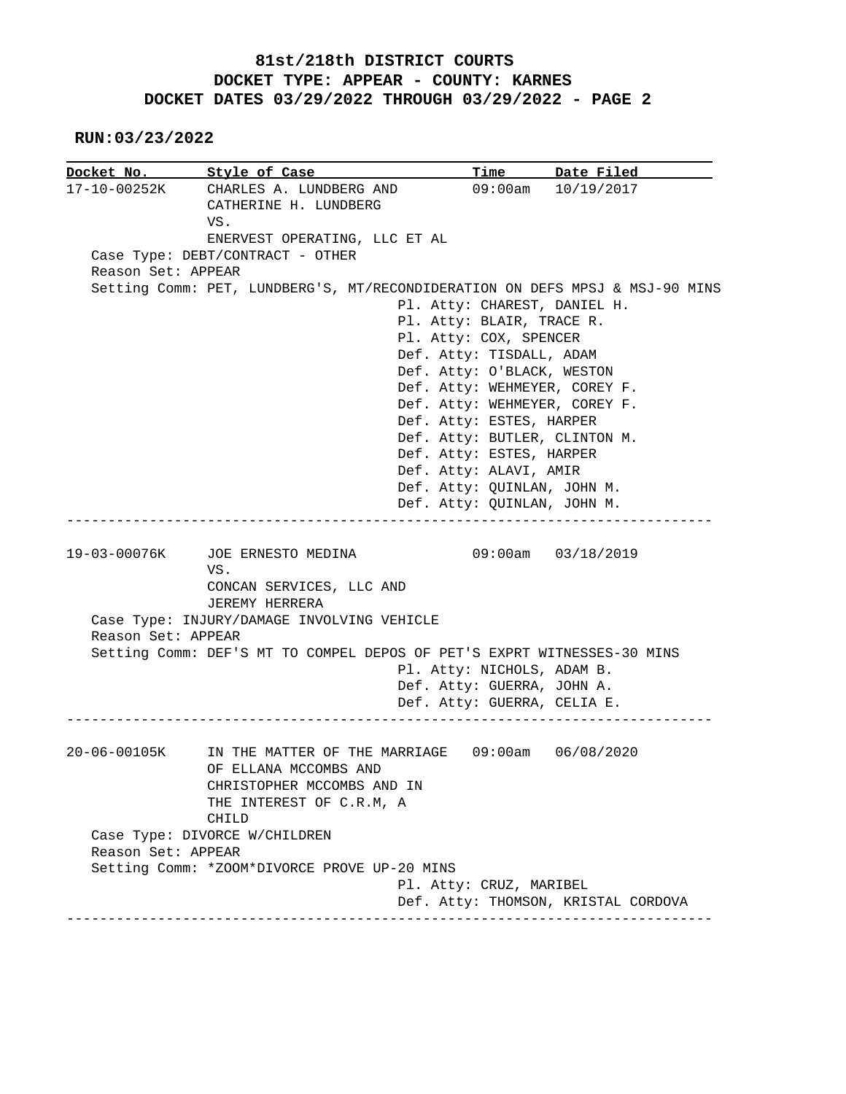**RUN:03/23/2022**

|                    | Docket No. 5tyle of Case                                                                 |                               | Time Date Filed                     |  |
|--------------------|------------------------------------------------------------------------------------------|-------------------------------|-------------------------------------|--|
|                    | 17-10-00252K CHARLES A. LUNDBERG AND                                                     |                               | 09:00am 10/19/2017                  |  |
|                    | CATHERINE H. LUNDBERG                                                                    |                               |                                     |  |
|                    | VS.                                                                                      |                               |                                     |  |
|                    | ENERVEST OPERATING, LLC ET AL                                                            |                               |                                     |  |
|                    | Case Type: DEBT/CONTRACT - OTHER                                                         |                               |                                     |  |
| Reason Set: APPEAR |                                                                                          |                               |                                     |  |
|                    | Setting Comm: PET, LUNDBERG'S, MT/RECONDIDERATION ON DEFS MPSJ & MSJ-90 MINS             |                               |                                     |  |
|                    |                                                                                          | Pl. Atty: CHAREST, DANIEL H.  |                                     |  |
|                    |                                                                                          | Pl. Atty: BLAIR, TRACE R.     |                                     |  |
|                    |                                                                                          | Pl. Atty: COX, SPENCER        |                                     |  |
|                    |                                                                                          | Def. Atty: TISDALL, ADAM      |                                     |  |
|                    |                                                                                          | Def. Atty: O'BLACK, WESTON    |                                     |  |
|                    |                                                                                          | Def. Atty: WEHMEYER, COREY F. |                                     |  |
|                    |                                                                                          | Def. Atty: WEHMEYER, COREY F. |                                     |  |
|                    |                                                                                          | Def. Atty: ESTES, HARPER      |                                     |  |
|                    |                                                                                          | Def. Atty: BUTLER, CLINTON M. |                                     |  |
|                    |                                                                                          | Def. Atty: ESTES, HARPER      |                                     |  |
|                    |                                                                                          | Def. Atty: ALAVI, AMIR        |                                     |  |
|                    |                                                                                          | Def. Atty: QUINLAN, JOHN M.   |                                     |  |
|                    |                                                                                          | Def. Atty: QUINLAN, JOHN M.   |                                     |  |
|                    | CONCAN SERVICES, LLC AND<br>JEREMY HERRERA<br>Case Type: INJURY/DAMAGE INVOLVING VEHICLE |                               |                                     |  |
| Reason Set: APPEAR |                                                                                          |                               |                                     |  |
|                    | Setting Comm: DEF'S MT TO COMPEL DEPOS OF PET'S EXPRT WITNESSES-30 MINS                  |                               |                                     |  |
|                    |                                                                                          | Pl. Atty: NICHOLS, ADAM B.    |                                     |  |
|                    |                                                                                          | Def. Atty: GUERRA, JOHN A.    |                                     |  |
|                    |                                                                                          | Def. Atty: GUERRA, CELIA E.   |                                     |  |
|                    |                                                                                          |                               |                                     |  |
| 20-06-00105K       | IN THE MATTER OF THE MARRIAGE  09:00am  06/08/2020                                       |                               |                                     |  |
|                    | OF ELLANA MCCOMBS AND                                                                    |                               |                                     |  |
|                    | CHRISTOPHER MCCOMBS AND IN                                                               |                               |                                     |  |
|                    | THE INTEREST OF C.R.M, A                                                                 |                               |                                     |  |
|                    | CHILD                                                                                    |                               |                                     |  |
|                    | Case Type: DIVORCE W/CHILDREN                                                            |                               |                                     |  |
|                    |                                                                                          |                               |                                     |  |
| Reason Set: APPEAR |                                                                                          |                               |                                     |  |
|                    | Setting Comm: *ZOOM*DIVORCE PROVE UP-20 MINS                                             |                               |                                     |  |
|                    |                                                                                          | Pl. Atty: CRUZ, MARIBEL       | Def. Atty: THOMSON, KRISTAL CORDOVA |  |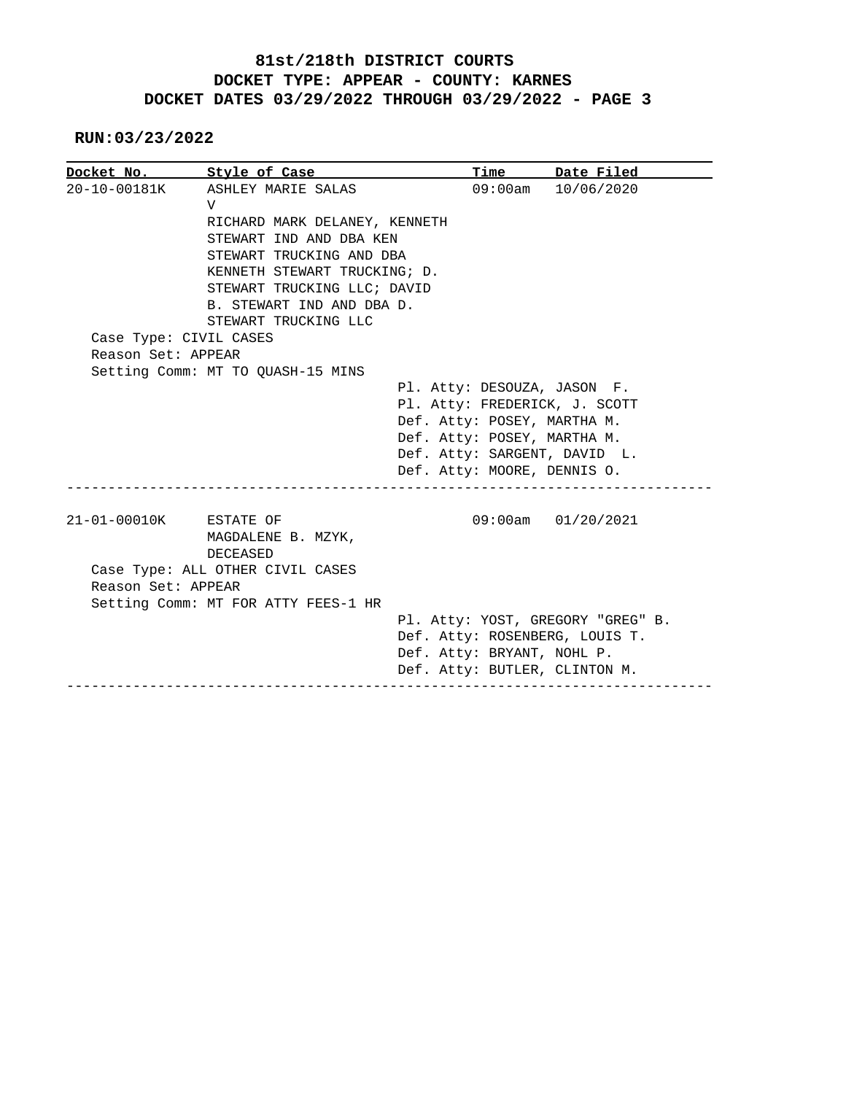**RUN:03/23/2022**

|                        | Docket No. Style of Case                        | Time                        | Date Filed                        |
|------------------------|-------------------------------------------------|-----------------------------|-----------------------------------|
|                        | 20-10-00181K ASHLEY MARIE SALAS<br>$\mathbf{V}$ | $09:00$ am                  | 10/06/2020                        |
|                        | RICHARD MARK DELANEY, KENNETH                   |                             |                                   |
|                        | STEWART IND AND DBA KEN                         |                             |                                   |
|                        | STEWART TRUCKING AND DBA                        |                             |                                   |
|                        | KENNETH STEWART TRUCKING; D.                    |                             |                                   |
|                        | STEWART TRUCKING LLC; DAVID                     |                             |                                   |
|                        | B. STEWART IND AND DBA D.                       |                             |                                   |
|                        | STEWART TRUCKING LLC                            |                             |                                   |
| Case Type: CIVIL CASES |                                                 |                             |                                   |
| Reason Set: APPEAR     |                                                 |                             |                                   |
|                        | Setting Comm: MT TO QUASH-15 MINS               |                             |                                   |
|                        |                                                 |                             | Pl. Atty: DESOUZA, JASON F.       |
|                        |                                                 |                             | Pl. Atty: FREDERICK, J. SCOTT     |
|                        |                                                 |                             | Def. Atty: POSEY, MARTHA M.       |
|                        |                                                 | Def. Atty: POSEY, MARTHA M. |                                   |
|                        |                                                 |                             | Def. Atty: SARGENT, DAVID L.      |
|                        |                                                 |                             | Def. Atty: MOORE, DENNIS O.       |
|                        |                                                 |                             |                                   |
| 21-01-00010K ESTATE OF |                                                 |                             | $09:00am$ $01/20/2021$            |
|                        | MAGDALENE B. MZYK,                              |                             |                                   |
|                        | DECEASED                                        |                             |                                   |
|                        | Case Type: ALL OTHER CIVIL CASES                |                             |                                   |
| Reason Set: APPEAR     |                                                 |                             |                                   |
|                        | Setting Comm: MT FOR ATTY FEES-1 HR             |                             |                                   |
|                        |                                                 |                             | Pl. Atty: YOST, GREGORY "GREG" B. |
|                        |                                                 |                             |                                   |
|                        |                                                 |                             | Def. Atty: ROSENBERG, LOUIS T.    |
|                        |                                                 | Def. Atty: BRYANT, NOHL P.  | Def. Atty: BUTLER, CLINTON M.     |